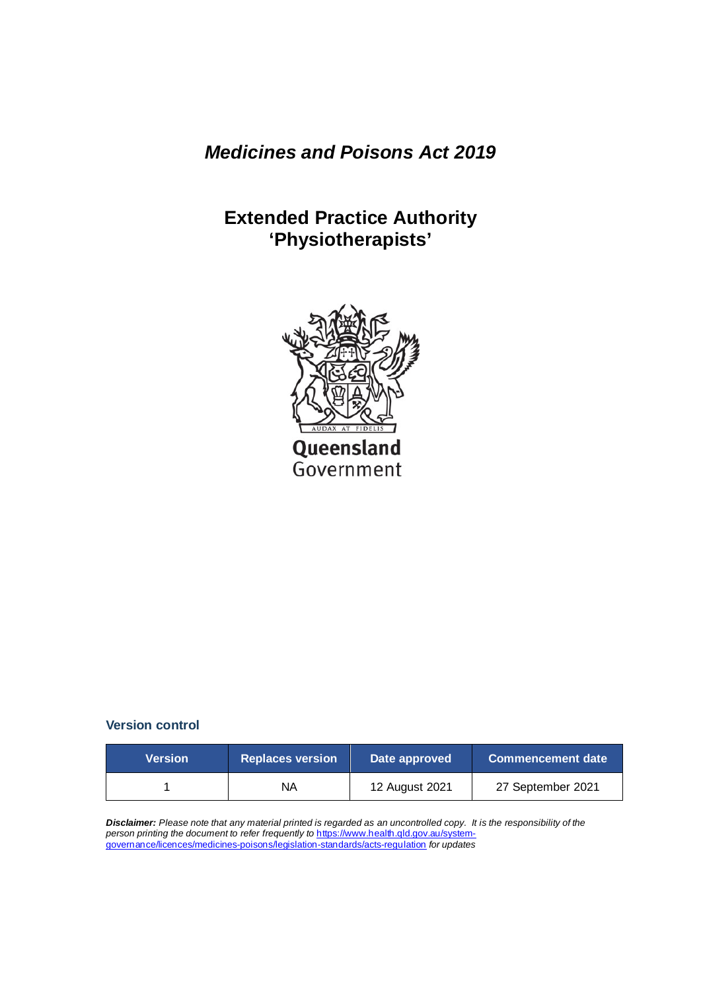*Medicines and Poisons Act 2019*

# **Extended Practice Authority 'Physiotherapists'**



#### **Version control**

| <b>Version</b> | <b>Replaces version</b> | Date approved  | <b>Commencement date</b> |
|----------------|-------------------------|----------------|--------------------------|
|                | ΝA                      | 12 August 2021 | 27 September 2021        |

*Disclaimer: Please note that any material printed is regarded as an uncontrolled copy. It is the responsibility of the person printing the document to refer frequently to* [https://www.health.qld.gov.au/system](https://www.health.qld.gov.au/system-governance/licences/medicines-poisons/legislation-standards/acts-regulation)[governance/licences/medicines-poisons/legislation-standards/acts-regulation](https://www.health.qld.gov.au/system-governance/licences/medicines-poisons/legislation-standards/acts-regulation) *for updates*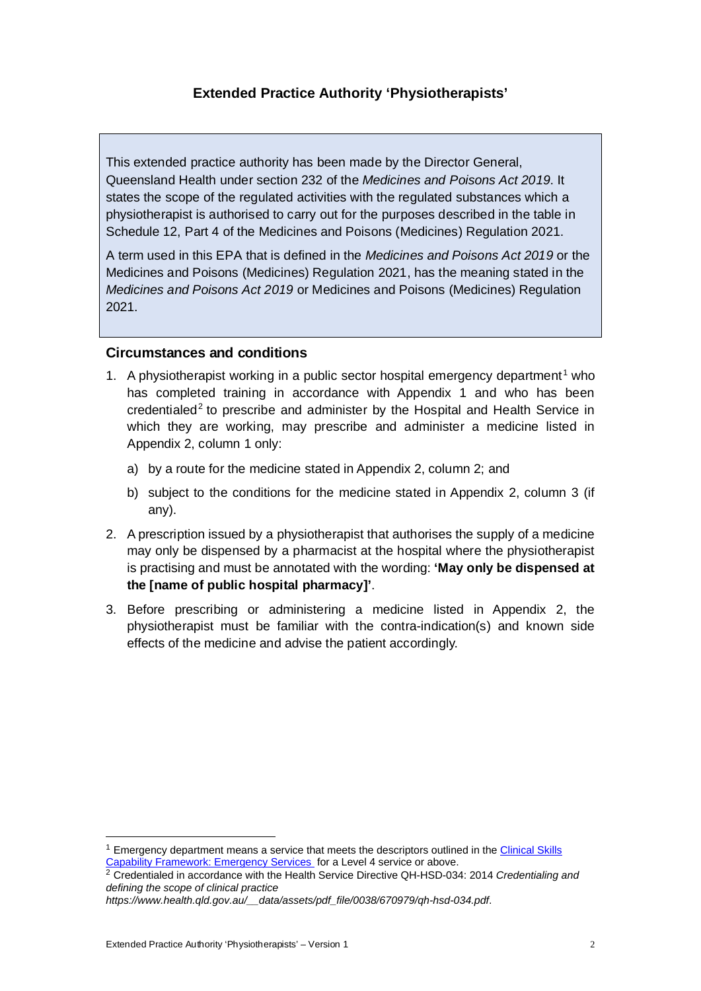### **Extended Practice Authority 'Physiotherapists'**

This extended practice authority has been made by the Director General, Queensland Health under section 232 of the *Medicines and Poisons Act 2019*. It states the scope of the regulated activities with the regulated substances which a physiotherapist is authorised to carry out for the purposes described in the table in Schedule 12, Part 4 of the Medicines and Poisons (Medicines) Regulation 2021.

A term used in this EPA that is defined in the *Medicines and Poisons Act 2019* or the Medicines and Poisons (Medicines) Regulation 2021, has the meaning stated in the *Medicines and Poisons Act 2019* or Medicines and Poisons (Medicines) Regulation 2021.

#### **Circumstances and conditions**

- [1](#page-1-0). A physiotherapist working in a public sector hospital emergency department<sup>1</sup> who has completed training in accordance with Appendix 1 and who has been credentialed<sup>[2](#page-1-1)</sup> to prescribe and administer by the Hospital and Health Service in which they are working, may prescribe and administer a medicine listed in Appendix 2, column 1 only:
	- a) by a route for the medicine stated in Appendix 2, column 2; and
	- b) subject to the conditions for the medicine stated in Appendix 2, column 3 (if any).
- 2. A prescription issued by a physiotherapist that authorises the supply of a medicine may only be dispensed by a pharmacist at the hospital where the physiotherapist is practising and must be annotated with the wording: **'May only be dispensed at the [name of public hospital pharmacy]'**.
- 3. Before prescribing or administering a medicine listed in Appendix 2, the physiotherapist must be familiar with the contra-indication(s) and known side effects of the medicine and advise the patient accordingly.

<span id="page-1-0"></span><sup>&</sup>lt;sup>1</sup> Emergency department means a service that meets the descriptors outlined in the Clinical Skills [Capability Framework: Emergency Services](https://www.health.qld.gov.au/__data/assets/pdf_file/0027/444276/cscf-emergency.pdf) for a Level 4 service or above.

<span id="page-1-1"></span><sup>2</sup> Credentialed in accordance with the Health Service Directive QH-HSD-034: 2014 *Credentialing and defining the scope of clinical practice*

*https://www.health.qld.gov.au/\_\_data/assets/pdf\_file/0038/670979/qh-hsd-034.pdf*.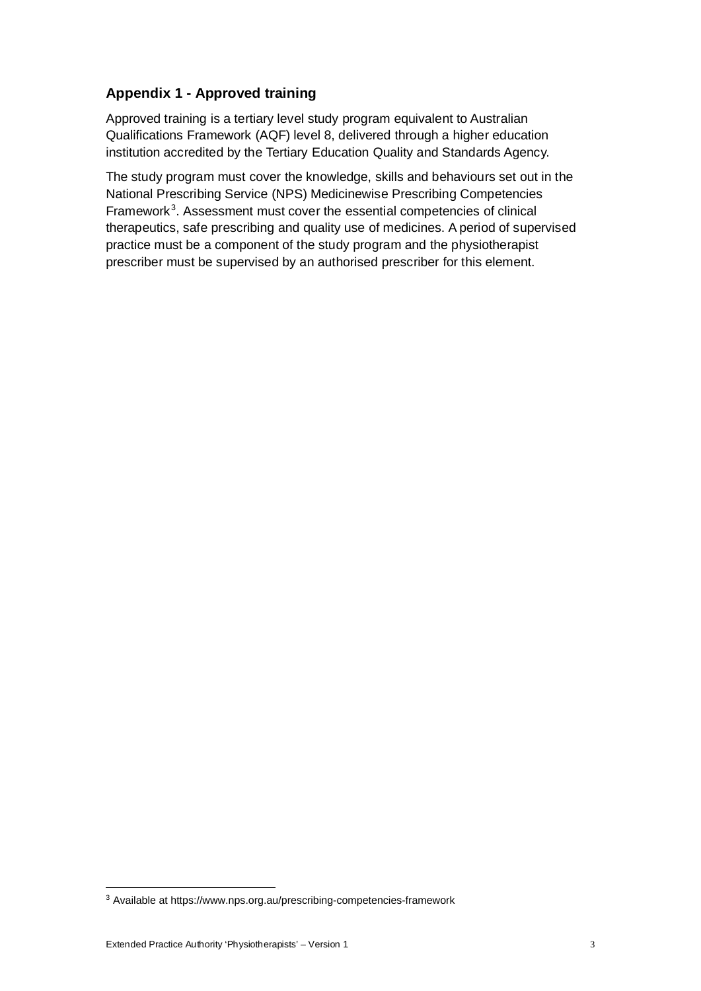### **Appendix 1 - Approved training**

Approved training is a tertiary level study program equivalent to Australian Qualifications Framework (AQF) level 8, delivered through a higher education institution accredited by the Tertiary Education Quality and Standards Agency.

The study program must cover the knowledge, skills and behaviours set out in the National Prescribing Service (NPS) Medicinewise Prescribing Competencies Framework<sup>[3](#page-2-0)</sup>. Assessment must cover the essential competencies of clinical therapeutics, safe prescribing and quality use of medicines. A period of supervised practice must be a component of the study program and the physiotherapist prescriber must be supervised by an authorised prescriber for this element.

<span id="page-2-0"></span><sup>3</sup> Available at https://www.nps.org.au/prescribing-competencies-framework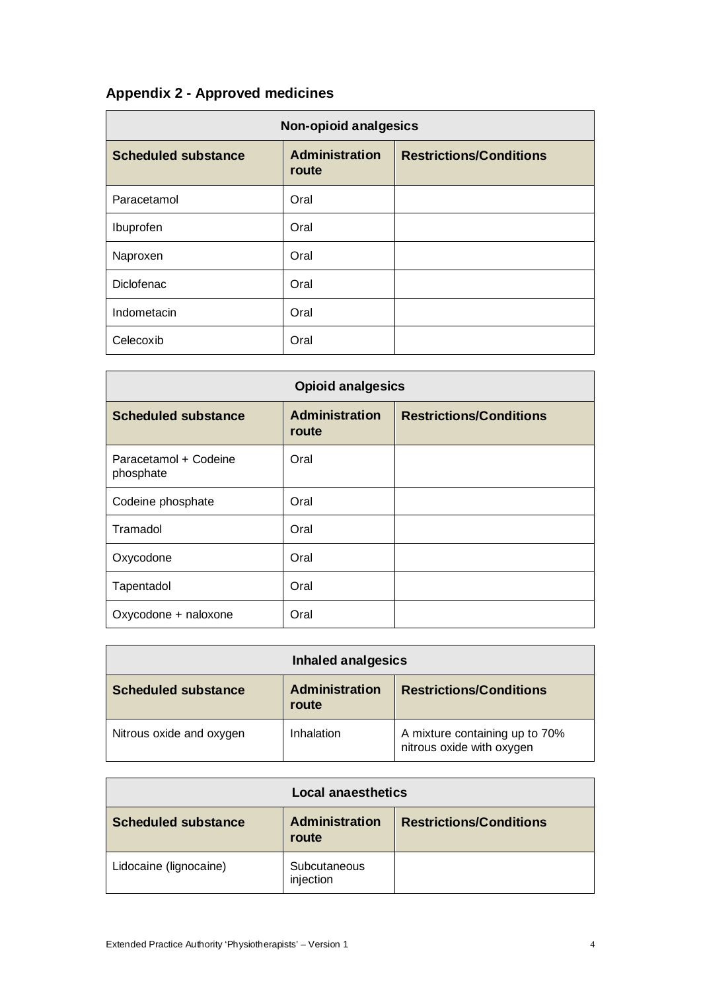# **Appendix 2 - Approved medicines**

| <b>Non-opioid analgesics</b> |                                |                                |
|------------------------------|--------------------------------|--------------------------------|
| <b>Scheduled substance</b>   | <b>Administration</b><br>route | <b>Restrictions/Conditions</b> |
| Paracetamol                  | Oral                           |                                |
| Ibuprofen                    | Oral                           |                                |
| Naproxen                     | Oral                           |                                |
| <b>Diclofenac</b>            | Oral                           |                                |
| Indometacin                  | Oral                           |                                |
| Celecoxib                    | Oral                           |                                |

| <b>Opioid analgesics</b>           |                                |                                |
|------------------------------------|--------------------------------|--------------------------------|
| <b>Scheduled substance</b>         | <b>Administration</b><br>route | <b>Restrictions/Conditions</b> |
| Paracetamol + Codeine<br>phosphate | Oral                           |                                |
| Codeine phosphate                  | Oral                           |                                |
| Tramadol                           | Oral                           |                                |
| Oxycodone                          | Oral                           |                                |
| Tapentadol                         | Oral                           |                                |
| Oxycodone + naloxone               | Oral                           |                                |

| <b>Inhaled analgesics</b>  |                                |                                                             |
|----------------------------|--------------------------------|-------------------------------------------------------------|
| <b>Scheduled substance</b> | <b>Administration</b><br>route | <b>Restrictions/Conditions</b>                              |
| Nitrous oxide and oxygen   | Inhalation                     | A mixture containing up to 70%<br>nitrous oxide with oxygen |

| <b>Local anaesthetics</b>  |                                |                                |
|----------------------------|--------------------------------|--------------------------------|
| <b>Scheduled substance</b> | <b>Administration</b><br>route | <b>Restrictions/Conditions</b> |
| Lidocaine (lignocaine)     | Subcutaneous<br>injection      |                                |